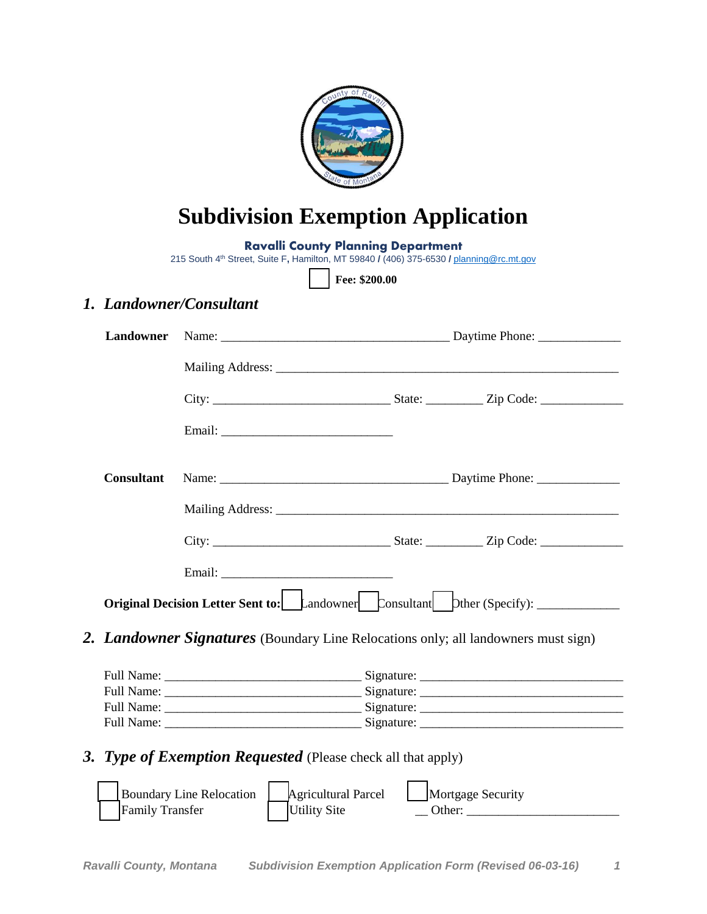

# **Subdivision Exemption Application**

**Ravalli County Planning Department**

215 South 4 th Street, Suite F**,** Hamilton, MT 59840 **/** (406) 375-6530 **/** [planning@rc.mt.gov](mailto:planning@rc.mt.gov)

**Fee: \$200.00**

## *1. Landowner/Consultant*

| Landowner         |                                                                                    |  |  | Name: Daytime Phone:                                                           |
|-------------------|------------------------------------------------------------------------------------|--|--|--------------------------------------------------------------------------------|
|                   |                                                                                    |  |  |                                                                                |
|                   |                                                                                    |  |  |                                                                                |
|                   |                                                                                    |  |  |                                                                                |
| <b>Consultant</b> |                                                                                    |  |  | Name: Daytime Phone:                                                           |
|                   |                                                                                    |  |  |                                                                                |
|                   |                                                                                    |  |  |                                                                                |
|                   |                                                                                    |  |  |                                                                                |
|                   |                                                                                    |  |  | <b>Original Decision Letter Sent to:</b> Landowner Consultant Dther (Specify): |
|                   | 2. Landowner Signatures (Boundary Line Relocations only; all landowners must sign) |  |  |                                                                                |
|                   |                                                                                    |  |  |                                                                                |
|                   |                                                                                    |  |  |                                                                                |
|                   |                                                                                    |  |  |                                                                                |
|                   |                                                                                    |  |  |                                                                                |
|                   | 3. Type of Exemption Requested (Please check all that apply)                       |  |  |                                                                                |
|                   | Boundary Line Relocation   Agricultural Parcel                                     |  |  | Mortgage Security                                                              |

Family Transfer  $\Box$  Utility Site  $\Box$  Other:  $\Box$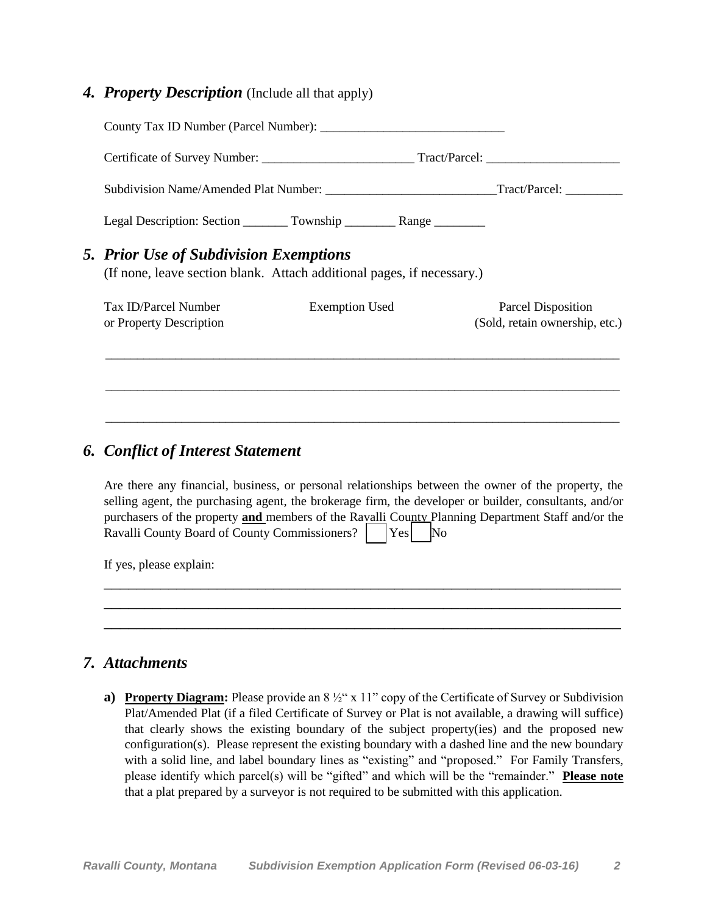*4. Property Description* (Include all that apply)

| County Tax ID Number (Parcel Number): |                                                                                                                  |                                                             |  |  |  |  |
|---------------------------------------|------------------------------------------------------------------------------------------------------------------|-------------------------------------------------------------|--|--|--|--|
|                                       |                                                                                                                  |                                                             |  |  |  |  |
|                                       | Subdivision Name/Amended Plat Number: ___________________________Tract/Parcel: _________                         |                                                             |  |  |  |  |
|                                       | Legal Description: Section ________ Township __________ Range _________                                          |                                                             |  |  |  |  |
|                                       | 5. Prior Use of Subdivision Exemptions<br>(If none, leave section blank. Attach additional pages, if necessary.) |                                                             |  |  |  |  |
|                                       | Tax ID/Parcel Number<br><b>Exemption Used</b><br>or Property Description                                         | <b>Parcel Disposition</b><br>(Sold, retain ownership, etc.) |  |  |  |  |
|                                       |                                                                                                                  |                                                             |  |  |  |  |
|                                       |                                                                                                                  |                                                             |  |  |  |  |

## *6. Conflict of Interest Statement*

| Are there any financial, business, or personal relationships between the owner of the property, the |                                                                                                        |
|-----------------------------------------------------------------------------------------------------|--------------------------------------------------------------------------------------------------------|
|                                                                                                     | selling agent, the purchasing agent, the brokerage firm, the developer or builder, consultants, and/or |
|                                                                                                     | purchasers of the property and members of the Ravalli County Planning Department Staff and/or the      |
| Ravalli County Board of County Commissioners?     Yes     No                                        |                                                                                                        |

\_\_\_\_\_\_\_\_\_\_\_\_\_\_\_\_\_\_\_\_\_\_\_\_\_\_\_\_\_\_\_\_\_\_\_\_\_\_\_\_\_\_\_\_\_\_\_\_\_\_\_\_\_\_\_\_\_\_\_\_\_\_\_\_ \_\_\_\_\_\_\_\_\_\_\_\_\_\_\_\_\_\_\_\_\_\_\_\_\_\_\_\_\_\_\_\_\_\_\_\_\_\_\_\_\_\_\_\_\_\_\_\_\_\_\_\_\_\_\_\_\_\_\_\_\_\_\_\_ \_\_\_\_\_\_\_\_\_\_\_\_\_\_\_\_\_\_\_\_\_\_\_\_\_\_\_\_\_\_\_\_\_\_\_\_\_\_\_\_\_\_\_\_\_\_\_\_\_\_\_\_\_\_\_\_\_\_\_\_\_\_\_\_

If yes, please explain:

#### *7. Attachments*

**a) Property Diagram:** Please provide an 8 ½" x 11" copy of the Certificate of Survey or Subdivision Plat/Amended Plat (if a filed Certificate of Survey or Plat is not available, a drawing will suffice) that clearly shows the existing boundary of the subject property(ies) and the proposed new configuration(s). Please represent the existing boundary with a dashed line and the new boundary with a solid line, and label boundary lines as "existing" and "proposed." For Family Transfers, please identify which parcel(s) will be "gifted" and which will be the "remainder." **Please note** that a plat prepared by a surveyor is not required to be submitted with this application.